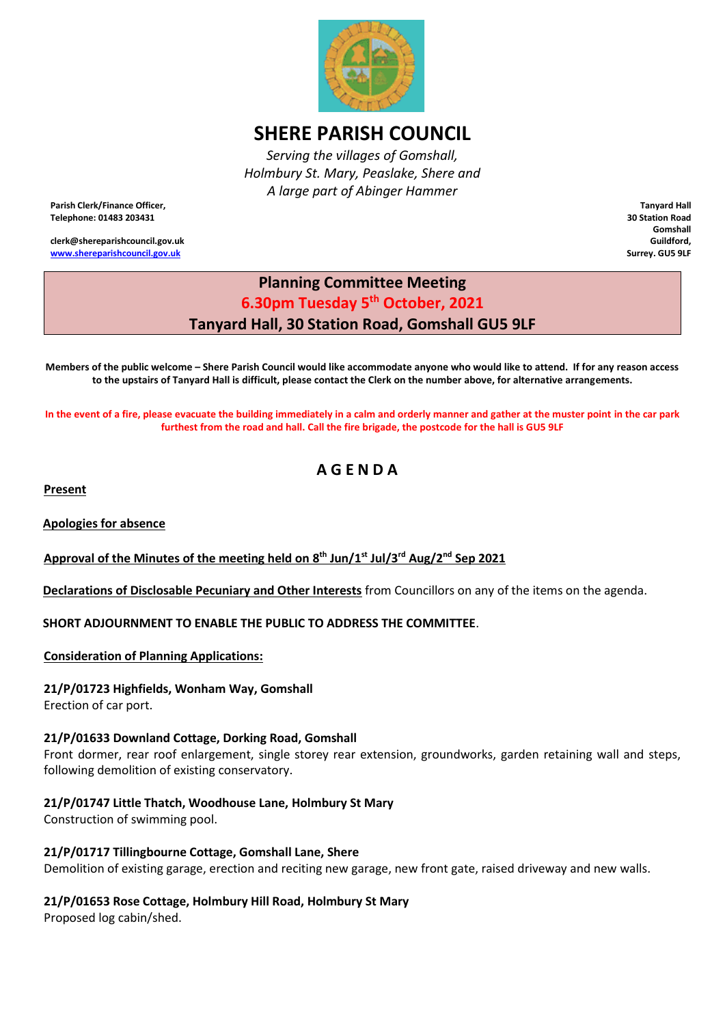

# **SHERE PARISH COUNCIL**

*Serving the villages of Gomshall, Holmbury St. Mary, Peaslake, Shere and A large part of Abinger Hammer*

**Parish Clerk/Finance Officer, Telephone: 01483 203431**

**clerk@shereparishcouncil.gov.uk [www.shereparishcouncil.gov.uk](http://www.shereparishcouncil.gov.uk/)**

**Tanyard Hall 30 Station Road Gomshall Guildford, Surrey. GU5 9LF**

# **Planning Committee Meeting 6.30pm Tuesday 5 th October, 2021 Tanyard Hall, 30 Station Road, Gomshall GU5 9LF**

**Members of the public welcome – Shere Parish Council would like accommodate anyone who would like to attend. If for any reason access to the upstairs of Tanyard Hall is difficult, please contact the Clerk on the number above, for alternative arrangements.** 

**In the event of a fire, please evacuate the building immediately in a calm and orderly manner and gather at the muster point in the car park furthest from the road and hall. Call the fire brigade, the postcode for the hall is GU5 9LF** 

# **A G E N D A**

**Present**

**Apologies for absence** 

**Approval of the Minutes of the meeting held on 8 th Jun/1st Jul/3rd Aug/2nd Sep 2021**

**Declarations of Disclosable Pecuniary and Other Interests** from Councillors on any of the items on the agenda.

**SHORT ADJOURNMENT TO ENABLE THE PUBLIC TO ADDRESS THE COMMITTEE**.

**Consideration of Planning Applications:**

**21/P/01723 Highfields, Wonham Way, Gomshall**

Erection of car port.

#### **21/P/01633 Downland Cottage, Dorking Road, Gomshall**

Front dormer, rear roof enlargement, single storey rear extension, groundworks, garden retaining wall and steps, following demolition of existing conservatory.

## **21/P/01747 Little Thatch, Woodhouse Lane, Holmbury St Mary**

Construction of swimming pool.

#### **21/P/01717 Tillingbourne Cottage, Gomshall Lane, Shere**

Demolition of existing garage, erection and reciting new garage, new front gate, raised driveway and new walls.

## **21/P/01653 Rose Cottage, Holmbury Hill Road, Holmbury St Mary**

Proposed log cabin/shed.